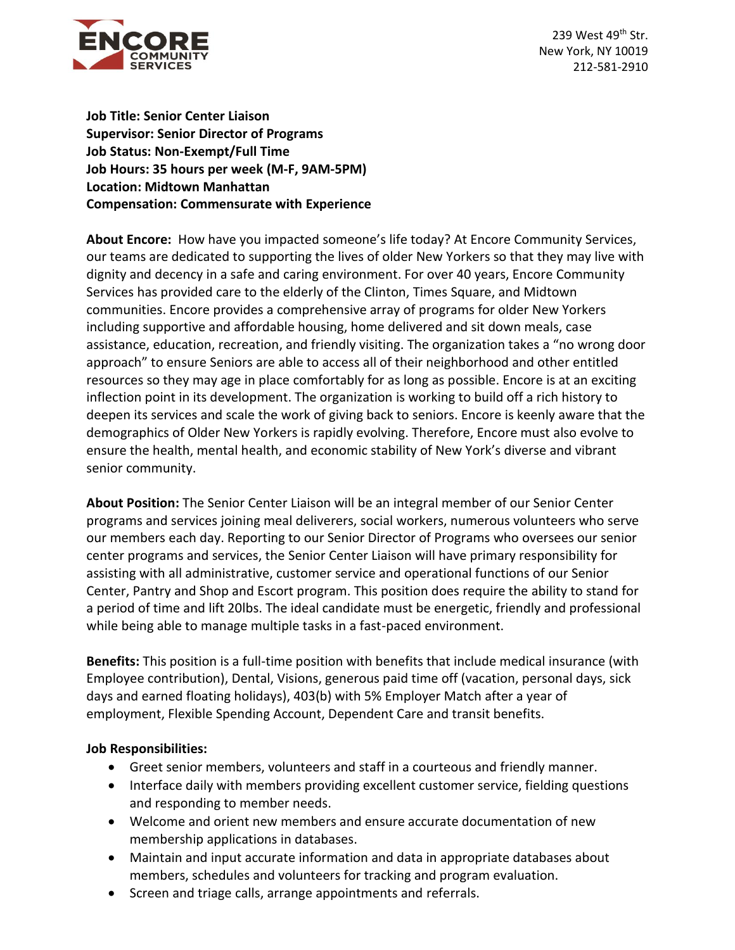

239 West 49<sup>th</sup> Str. New York, NY 10019 212-581-2910

**Job Title: Senior Center Liaison Supervisor: Senior Director of Programs Job Status: Non-Exempt/Full Time Job Hours: 35 hours per week (M-F, 9AM-5PM) Location: Midtown Manhattan Compensation: Commensurate with Experience**

**About Encore:** How have you impacted someone's life today? At Encore Community Services, our teams are dedicated to supporting the lives of older New Yorkers so that they may live with dignity and decency in a safe and caring environment. For over 40 years, Encore Community Services has provided care to the elderly of the Clinton, Times Square, and Midtown communities. Encore provides a comprehensive array of programs for older New Yorkers including supportive and affordable housing, home delivered and sit down meals, case assistance, education, recreation, and friendly visiting. The organization takes a "no wrong door approach" to ensure Seniors are able to access all of their neighborhood and other entitled resources so they may age in place comfortably for as long as possible. Encore is at an exciting inflection point in its development. The organization is working to build off a rich history to deepen its services and scale the work of giving back to seniors. Encore is keenly aware that the demographics of Older New Yorkers is rapidly evolving. Therefore, Encore must also evolve to ensure the health, mental health, and economic stability of New York's diverse and vibrant senior community.

**About Position:** The Senior Center Liaison will be an integral member of our Senior Center programs and services joining meal deliverers, social workers, numerous volunteers who serve our members each day. Reporting to our Senior Director of Programs who oversees our senior center programs and services, the Senior Center Liaison will have primary responsibility for assisting with all administrative, customer service and operational functions of our Senior Center, Pantry and Shop and Escort program. This position does require the ability to stand for a period of time and lift 20lbs. The ideal candidate must be energetic, friendly and professional while being able to manage multiple tasks in a fast-paced environment.

**Benefits:** This position is a full-time position with benefits that include medical insurance (with Employee contribution), Dental, Visions, generous paid time off (vacation, personal days, sick days and earned floating holidays), 403(b) with 5% Employer Match after a year of employment, Flexible Spending Account, Dependent Care and transit benefits.

## **Job Responsibilities:**

- Greet senior members, volunteers and staff in a courteous and friendly manner.
- Interface daily with members providing excellent customer service, fielding questions and responding to member needs.
- Welcome and orient new members and ensure accurate documentation of new membership applications in databases.
- Maintain and input accurate information and data in appropriate databases about members, schedules and volunteers for tracking and program evaluation.
- Screen and triage calls, arrange appointments and referrals.